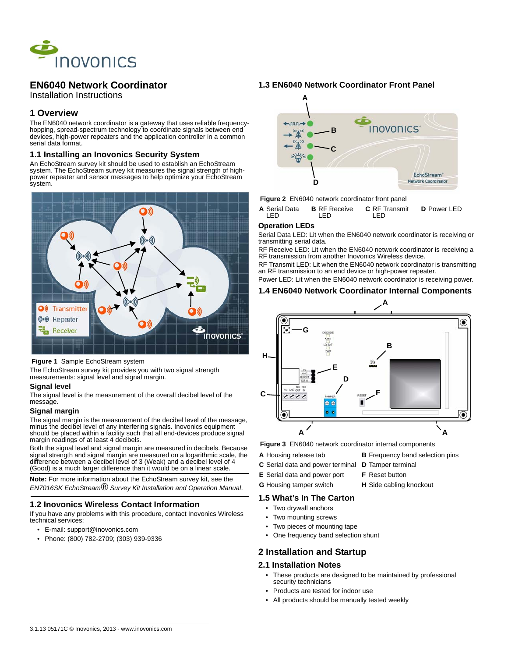

# **EN6040 Network Coordinator**

Installation Instructions

## **1 Overview**

The EN6040 network coordinator is a gateway that uses reliable frequencyhopping, spread-spectrum technology to coordinate signals between end devices, high-power repeaters and the application controller in a common serial data format.

### **1.1 Installing an Inovonics Security System**

An EchoStream survey kit should be used to establish an EchoStream system. The EchoStream survey kit measures the signal strength of highpower repeater and sensor messages to help optimize your EchoStream system.



#### **Figure 1** Sample EchoStream system

The EchoStream survey kit provides you with two signal strength measurements: signal level and signal margin.

### **Signal level**

The signal level is the measurement of the overall decibel level of the message.

#### **Signal margin**

The signal margin is the measurement of the decibel level of the message, minus the decibel level of any interfering signals. Inovonics equipment should be placed within a facility such that all end-devices produce signal margin readings of at least 4 decibels.

Both the signal level and signal margin are measured in decibels. Because signal strength and signal margin are measured on a logarithmic scale, the difference between a decibel level of 3 (Weak) and a decibel level of 4 (Good) is a much larger difference than it would be on a linear scale.

**Note:** For more information about the EchoStream survey kit, see the *EN7016SK EchoStream® Survey Kit Installation and Operation Manual*.

### **1.2 Inovonics Wireless Contact Information**

If you have any problems with this procedure, contact Inovonics Wireless technical services:

- E-mail: support@inovonics.com
- Phone: (800) 782-2709; (303) 939-9336

### **1.3 EN6040 Network Coordinator Front Panel**





**A** Serial Data LED **B** RF Receive LED **C** RF Transmit LED **D** Power LED

#### **Operation LEDs**

Serial Data LED: Lit when the EN6040 network coordinator is receiving or transmitting serial data.

RF Receive LED: Lit when the EN6040 network coordinator is receiving a RF transmission from another Inovonics Wireless device.

RF Transmit LED: Lit when the EN6040 network coordinator is transmitting an RF transmission to an end device or high-power repeater.

Power LED: Lit when the EN6040 network coordinator is receiving power.

### **1.4 EN6040 Network Coordinator Internal Components**



 **Figure 3** EN6040 network coordinator internal components

- **A** Housing release tab **B** Frequency band selection pins
- **C** Serial data and power terminal **D** Tamper terminal
- 
- **E** Serial data and power port **F** Reset button
- **G** Housing tamper switch **H** Side cabling knockout

## **1.5 What's In The Carton**

- Two drywall anchors
- Two mounting screws
- Two pieces of mounting tape
- One frequency band selection shunt

## **2 Installation and Startup**

### **2.1 Installation Notes**

- These products are designed to be maintained by professional security technicians
- Products are tested for indoor use
- All products should be manually tested weekly